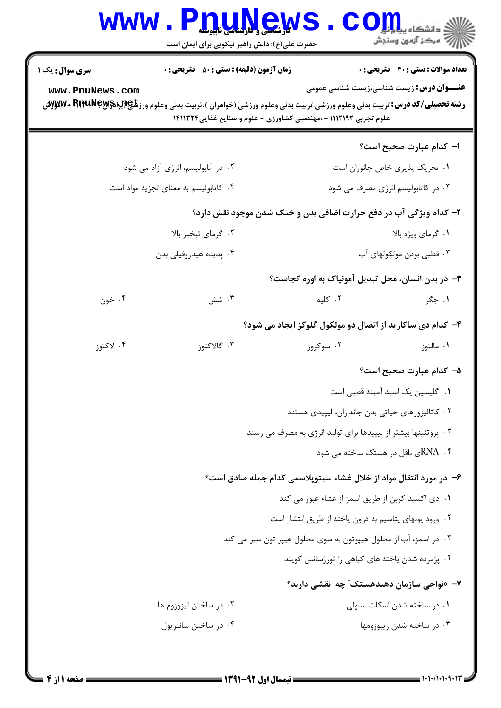## Www.PnuMews.Com

| <b>سری سوال :</b> یک ۱                                             | زمان آزمون (دقیقه) : تستی : 50 ٪ تشریحی : 0                                                                                    |                                                                   | <b>تعداد سوالات : تستی : 30 ٪ تشریحی : 0</b>      |
|--------------------------------------------------------------------|--------------------------------------------------------------------------------------------------------------------------------|-------------------------------------------------------------------|---------------------------------------------------|
| www.PnuNews.com                                                    | <b>رشته تحصیلی/کد درس:</b> تربیت بدنی وعلوم ورزشی،تربیت بدنی وعلوم ورزشی (خواهران )،تربیت بدنی وعلوم ورز <b>شی (Aru N</b> ey & | علوم تجربی ۱۱۱۲۱۹۲ - ،مهندسی کشاورزی - علوم و صنایع غذایی۱۴۱۱۳۲۴  | <b>عنـــوان درس:</b> زیست شناسی،زیست شناسی عمومی  |
|                                                                    |                                                                                                                                |                                                                   | ۱– کدام عبارت صحیح است؟                           |
|                                                                    | ۰۲ در آنابولیسم، انرژی آزاد می شود                                                                                             | ٠١ تحريک پذيري خاص جانوران است                                    |                                                   |
| ۰۴ کاتابولیسم به معنای تجزیه مواد است                              |                                                                                                                                | ۰۳ در کاتابولیسم انرژی مصرف می شود                                |                                                   |
|                                                                    |                                                                                                                                | ۲- کدام ویژگی آب در دفع حرارت اضافی بدن و خنک شدن موجود نقش دارد؟ |                                                   |
| ۰۲ گرمای تبخیر بالا                                                |                                                                                                                                | ٠١ گرماي ويژه بالا                                                |                                                   |
| ۰۴ پدیده هیدروفیلی بدن                                             |                                                                                                                                | ۰۳ قطبی بودن مولکولهای آب                                         |                                                   |
|                                                                    |                                                                                                                                |                                                                   | ۳- در بدن انسان، محل تبدیل آمونیاک به اوره کجاست؟ |
| ۰۴ خون                                                             | ۰۳ شش                                                                                                                          | ۰۲ کلیه                                                           | ۰۱ جگر                                            |
|                                                                    |                                                                                                                                | ۴- کدام دی ساکارید از اتصال دو مولکول گلوکز ایجاد می شود؟         |                                                   |
| ۰۴ لاکتوز                                                          | ۰۳ گالاکتوز                                                                                                                    | ۰۲ سوکروز                                                         | ۰۱ مالتوز                                         |
|                                                                    |                                                                                                                                |                                                                   | ۵– کدام عبارت صحیح است؟                           |
|                                                                    |                                                                                                                                |                                                                   | ۰۱ گلیسین یک اسید آمینه قطبی است                  |
|                                                                    |                                                                                                                                |                                                                   | ۰۲ کاتالیزورهای حیاتی بدن جانداران، لیپیدی هستند  |
|                                                                    | ۰۳ پروتئینها بیشتر از لیپیدها برای تولید انرژی به مصرف می رسند                                                                 |                                                                   |                                                   |
|                                                                    | ۴. RNAی ناقل در هستک ساخته می شود                                                                                              |                                                                   |                                                   |
| ۶– در مورد انتقال مواد از خلال غشاء سيتوپلاسمي كدام جمله صادق است؟ |                                                                                                                                |                                                                   |                                                   |
| ۰۱ دی اکسید کربن از طریق اسمز از غشاء عبور می کند                  |                                                                                                                                |                                                                   |                                                   |
| ۰۲ ورود یونهای پتاسیم به درون یاخته از طریق انتشار است             |                                                                                                                                |                                                                   |                                                   |
| ۰۳ در اسمز، آب از محلول هیپوتون به سوی محلول هیپر تون سیر می کند   |                                                                                                                                |                                                                   |                                                   |
|                                                                    |                                                                                                                                |                                                                   | ۰۴ پژمرده شدن یاخته های گیاهی را تورژسانس گویند   |
|                                                                    |                                                                                                                                |                                                                   | ۷– «نواحی سازمان دهندهستک" چه نقشی دارند؟         |
|                                                                    | ۰۲ در ساختن ليزوزوم ها                                                                                                         |                                                                   | ۰۱ در ساخته شدن اسکلت سلولی                       |
|                                                                    | ۰۴ در ساختن سانتریول                                                                                                           |                                                                   | ۰۳ در ساخته شدن ریبوزومها                         |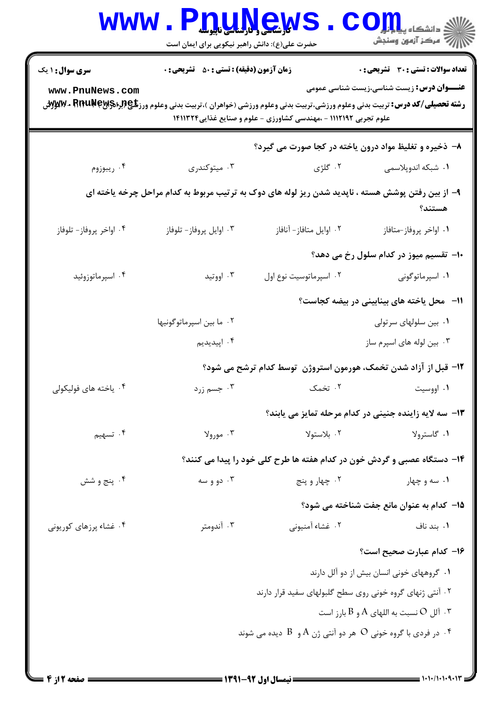| <b>WWW</b>                                               | حضرت علی(ع): دانش راهبر نیکویی برای ایمان است      | <b>IQUAGWS</b>                                                                                                                 | رآ مرڪز آزمون وسنڊش                                                                              |  |
|----------------------------------------------------------|----------------------------------------------------|--------------------------------------------------------------------------------------------------------------------------------|--------------------------------------------------------------------------------------------------|--|
| <b>سری سوال : ۱ یک</b><br>www.PnuNews.com                | <b>زمان آزمون (دقیقه) : تستی : 50 ٪ تشریحی : 0</b> | <b>رشته تحصیلی/کد درس:</b> تربیت بدنی وعلوم ورزشی،تربیت بدنی وعلوم ورزشی (خواهران )،تربیت بدنی وعلوم ورز <b>شی (Aru N</b> ey & | <b>تعداد سوالات : تستی : 30 ٪ تشریحی : 0</b><br><b>عنـــوان درس:</b> زیست شناسی،زیست شناسی عمومی |  |
|                                                          |                                                    | علوم تجربی ۱۱۱۲۱۹۲ - ،مهندسی کشاورزی - علوم و صنایع غذایی۱۴۱۱۳۲۴                                                               |                                                                                                  |  |
|                                                          |                                                    | ۸- ذخیره و تغلیظ مواد درون یاخته در کجا صورت می گیرد؟                                                                          |                                                                                                  |  |
| ۰۴ ریبوزوم                                               | ۰۳ میتوکندری                                       | ۰۲ گلژی                                                                                                                        | ۰۱ شبکه اندوپلاسمی                                                                               |  |
|                                                          |                                                    | ۹- از بین رفتن پوشش هسته ، ناپدید شدن ریز لوله های دوک به ترتیب مربوط به کدام مراحل چرخه یاخته ای                              | هستند؟                                                                                           |  |
| ۰۴ اواخر پروفاز- تلوفاز                                  | ۰۳ اوایل پروفاز- تلوفاز                            | ٠٢ اوايل متافاز- آنافاز                                                                                                        | ٠١. اواخر پروفاز-متافاز                                                                          |  |
|                                                          |                                                    |                                                                                                                                | ∙۱- تقسیم میوز در کدام سلول رخ می دهد؟                                                           |  |
| ۰۴ اسپرماتوزوئید                                         | ۰۳ اووتید                                          | ٠٢ اسپرماتوسيت نوع اول                                                                                                         | ۰۱ اسپرماتوگونی                                                                                  |  |
|                                                          |                                                    |                                                                                                                                | 11- محل یاخته های بینابینی در بیضه کجاست؟                                                        |  |
|                                                          | ۰۲ ما بين اسپرماتوگونيها                           |                                                                                                                                | ٠١. بين سلولهاى سرتولى                                                                           |  |
|                                                          | ۰۴ اپیدیدیم                                        |                                                                                                                                | ۰۳ بین لوله های اسپرم ساز                                                                        |  |
|                                                          |                                                    | ۱۲– قبل از آزاد شدن تخمک، هورمون استروژن  توسط کدام ترشح می شود؟                                                               |                                                                                                  |  |
| ۰۴ ياخته هاي فوليكولي                                    | ۰۳ جسم زرد                                         |                                                                                                                                | ۰۱ اووسیت مسیحه در ۲۰ تخمک                                                                       |  |
|                                                          |                                                    | 13- سه لایه زاینده جنینی در کدام مرحله تمایز می یابند؟                                                                         |                                                                                                  |  |
| ۰۴ تسهیم                                                 | ۰۳ مورولا                                          | ۰۲ بلاستولا                                                                                                                    | ۰۱ گاسترولا                                                                                      |  |
|                                                          |                                                    | ۱۴- دستگاه عصبی و گردش خون در کدام هفته ها طرح کلی خود را پیدا می کنند؟                                                        |                                                                                                  |  |
| ۰۴ پنج و شش                                              | ۰۳ دو و سه                                         | ۰۲ چهار و پنج                                                                                                                  | ۰۱ سه و چهار                                                                                     |  |
|                                                          |                                                    |                                                                                                                                | 1۵– کدام به عنوان مانع جفت شناخته می شود؟                                                        |  |
| ۰۴ غشاء پرزهای کوریونی                                   | ۰۳ آندومتر                                         | ٠٢ غشاء آمنيوني                                                                                                                | ۰۱ بند ناف                                                                                       |  |
|                                                          |                                                    |                                                                                                                                | ۱۶– کدام عبارت صحیح است؟                                                                         |  |
|                                                          |                                                    |                                                                                                                                | ۰۱ گروههای خونی انسان بیش از دو آلل دارند                                                        |  |
| ۰۲ آنتی ژنهای گروه خونی روی سطح گلبولهای سفید قرار دارند |                                                    |                                                                                                                                |                                                                                                  |  |
| تال O نسبت به اللهای A و B بارز است $\cdot$              |                                                    |                                                                                                                                |                                                                                                  |  |
|                                                          |                                                    | در فردی با گروه خونی $\rm O$ هر دو آنتی ژن $\rm A$ و $\rm B$ دیده می شوند $\rm ^*$                                             |                                                                                                  |  |
|                                                          |                                                    |                                                                                                                                |                                                                                                  |  |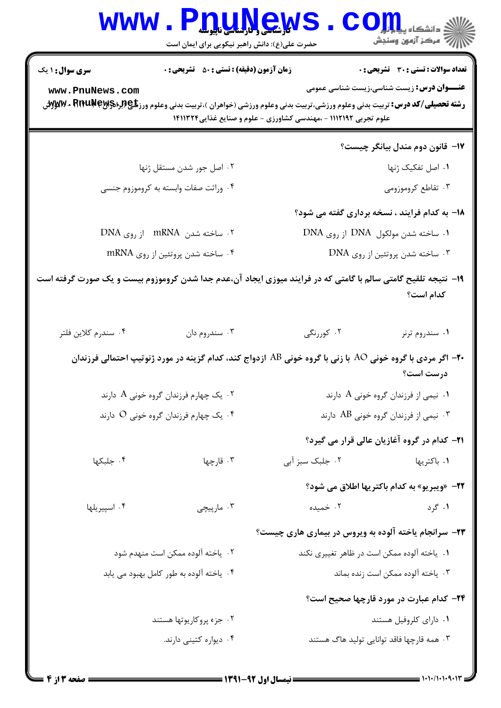| <b>WWW</b>             | <b>nuyews</b><br>حضرت علی(ع): دانش راهبر نیکویی برای ایمان است                                                                                   |                                                                  | ≤ دانشڪاه پ <b>يام!</b><br>رِ ۖ مرڪز آزمون وسنڊش    |
|------------------------|--------------------------------------------------------------------------------------------------------------------------------------------------|------------------------------------------------------------------|-----------------------------------------------------|
| <b>سری سوال : ۱ یک</b> | <b>زمان آزمون (دقیقه) : تستی : 50 ٪ تشریحی : 0</b>                                                                                               |                                                                  | <b>تعداد سوالات : تستی : 30 ٪ تشریحی : 0</b>        |
| www.PnuNews.com        | <b>رشته تحصیلی/کد درس:</b> تربیت بدنی وعلوم ورزشی،تربیت بدنی وعلوم ورزشی (خواهران )،تربیت بدنی وعلوم ورز <b>شگی(لِبراد؟\WA + RituNe بـ Wy</b> yt | علوم تجربی ۱۱۱۲۱۹۲ - ،مهندسی کشاورزی - علوم و صنایع غذایی۱۴۱۱۳۲۴ | <b>عنـــوان درس:</b> زیست شناسی،زیست شناسی عمومی    |
|                        |                                                                                                                                                  |                                                                  | ۱۷– قانون دوم مندل بیانگر چیست؟                     |
|                        | ۰۲ اصل جور شدن مستقل ژنها                                                                                                                        |                                                                  | ۰۱ اصل تفکیک ژنها                                   |
|                        | ۰۴ وراثت صفات وابسته به کروموزوم جنسی                                                                                                            |                                                                  | ۰۳ تقاطع کروموزومی                                  |
|                        |                                                                                                                                                  |                                                                  | ۱۸– به کدام فرایند ، نسخه برداری گفته می شود؟       |
|                        | ۰۲ ساخته شدن mRNA از روی DNA                                                                                                                     |                                                                  | ۰۱ ساخته شدن مولکول DNA از روی DNA                  |
|                        | ۰۴ ساخته شدن پروتئين از روى mRNA                                                                                                                 |                                                                  | ۰۳ ساخته شدن پروتئين از روى DNA                     |
|                        | ۱۹- نتیجه تلقیح گامتی سالم با گامتی که در فرایند میوزی ایجاد آن،عدم جدا شدن کروموزوم بیست و یک صورت گرفته است                                    |                                                                  | كدام است؟                                           |
| ۰۴ سندرم كلاين فلتر    | ۰۳ سندروم دان                                                                                                                                    | ۲. کوررنگی                                                       | ۰۱ سندروم ترنر                                      |
|                        | +۲- اگر مردی با گروه خونی AO با زنی با گروه خونی AB ازدواج کند، کدام گزینه در مورد ژنوتیپ احتمالی فرزندان                                        |                                                                  | درست است؟                                           |
|                        | ۰۲ یک چهارم فرزندان گروه خونی A دارند $\,$                                                                                                       |                                                                  | ۰۱ نیمی از فرزندان گروه خونی A دارند $\,$ ۰         |
|                        | ۰۴ یک چهارم فرزندان گروه خونی O دارند                                                                                                            |                                                                  | ۰۳ نیمی از فرزندان گروه خونی AB دارند               |
|                        |                                                                                                                                                  |                                                                  | <b>۲۱</b> – کدام در گروه آغازیان عالی قرار می گیرد؟ |
| ۰۴ جلبکها              | ۰۳ قارچها                                                                                                                                        | ۰۲ جلبک سبز آبی                                                  | ۰۱ باکتریها                                         |
|                        |                                                                                                                                                  |                                                                  | <b>32-</b> «ويبريو» به كدام باكتريها اطلاق مي شود؟  |
| ۰۴ اسپيريلها           | ۰۳ مارپیچی                                                                                                                                       | ۰۲ خمیده                                                         | ۰۱ گرد                                              |
|                        |                                                                                                                                                  | ۲۳- سرانجام یاخته آلوده به ویروس در بیماری هاری چیست؟            |                                                     |
|                        | ۰۲ ياخته آلوده ممكن است منهدم شود                                                                                                                | ۰۱ . ياخته آلوده ممكن است در ظاهر تغييري نكند                    |                                                     |
|                        | ۰۴ یاخته آلوده به طور کامل بهبود می یابد                                                                                                         |                                                                  | ٠٣ ياخته آلوده ممكن است زنده بماند                  |
|                        |                                                                                                                                                  |                                                                  | ۲۴- کدام عبارت در مورد قارچها صحیح است؟             |
|                        | ۰۲ جزء پروکاریوتها هستند                                                                                                                         |                                                                  | ۰۱ دارای کلروفیل هستند                              |
|                        | ۰۴ دیواره کتینی دارند.                                                                                                                           |                                                                  | ۰۳ همه قارچها فاقد توانایی تولید هاگ هستند          |